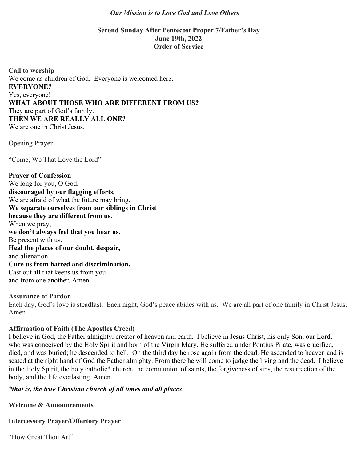#### *Our Mission is to Love God and Love Others*

### **Second Sunday After Pentecost Proper 7/Father's Day June 19th, 2022 Order of Service**

**Call to worship** We come as children of God. Everyone is welcomed here. **EVERYONE?** Yes, everyone! **WHAT ABOUT THOSE WHO ARE DIFFERENT FROM US?** They are part of God's family. **THEN WE ARE REALLY ALL ONE?** We are one in Christ Jesus.

Opening Prayer

"Come, We That Love the Lord"

**Prayer of Confession** We long for you, O God, **discouraged by our flagging efforts.** We are afraid of what the future may bring. **We separate ourselves from our siblings in Christ because they are different from us.** When we pray, **we don't always feel that you hear us.** Be present with us. **Heal the places of our doubt, despair,** and alienation. **Cure us from hatred and discrimination.** Cast out all that keeps us from you and from one another. Amen.

#### **Assurance of Pardon**

Each day, God's love is steadfast. Each night, God's peace abides with us. We are all part of one family in Christ Jesus. Amen

### **Affirmation of Faith (The Apostles Creed)**

I believe in God, the Father almighty, creator of heaven and earth. I believe in Jesus Christ, his only Son, our Lord, who was conceived by the Holy Spirit and born of the Virgin Mary. He suffered under Pontius Pilate, was crucified, died, and was buried; he descended to hell. On the third day he rose again from the dead. He ascended to heaven and is seated at the right hand of God the Father almighty. From there he will come to judge the living and the dead. I believe in the Holy Spirit, the holy catholic\* church, the communion of saints, the forgiveness of sins, the resurrection of the body, and the life everlasting. Amen.

# *\*that is, the true Christian church of all times and all places*

**Welcome & Announcements**

**Intercessory Prayer/Offertory Prayer**

"How Great Thou Art"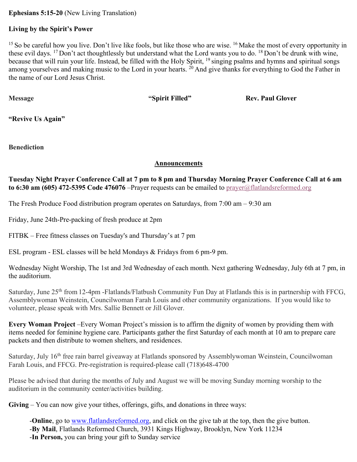**Ephesians 5:15-20** (New Living Translation)

### **Living by the Spirit's Power**

<sup>15</sup> So be careful how you live. Don't live like fools, but like those who are wise. <sup>16</sup> Make the most of every opportunity in these evil days. <sup>17</sup> Don't act thoughtlessly but understand what the Lord wants you to do. <sup>18</sup> Don't be drunk with wine, because that will ruin your life. Instead, be filled with the Holy Spirit, <sup>19</sup> singing psalms and hymns and spiritual songs among yourselves and making music to the Lord in your hearts. <sup>20</sup> And give thanks for everything to God the Father in the name of our Lord Jesus Christ.

**Message Spirit Filled"** Rev. Paul Glover

**"Revive Us Again"**

**Benediction**

### **Announcements**

**Tuesday Night Prayer Conference Call at 7 pm to 8 pm and Thursday Morning Prayer Conference Call at 6 am to 6:30 am (605) 472-5395 Code 476076** –Prayer requests can be emailed to prayer@flatlandsreformed.org

The Fresh Produce Food distribution program operates on Saturdays, from 7:00 am – 9:30 am

Friday, June 24th-Pre-packing of fresh produce at 2pm

FITBK – Free fitness classes on Tuesday's and Thursday's at 7 pm

ESL program - ESL classes will be held Mondays & Fridays from 6 pm-9 pm.

Wednesday Night Worship, The 1st and 3rd Wednesday of each month. Next gathering Wednesday, July 6th at 7 pm, in the auditorium.

Saturday, June 25<sup>th</sup> from 12-4pm -Flatlands/Flatbush Community Fun Day at Flatlands this is in partnership with FFCG, Assemblywoman Weinstein, Councilwoman Farah Louis and other community organizations. If you would like to volunteer, please speak with Mrs. Sallie Bennett or Jill Glover.

**Every Woman Project** –Every Woman Project's mission is to affirm the dignity of women by providing them with items needed for feminine hygiene care. Participants gather the first Saturday of each month at 10 am to prepare care packets and then distribute to women shelters, and residences.

Saturday, July 16<sup>th</sup> free rain barrel giveaway at Flatlands sponsored by Assemblywoman Weinstein, Councilwoman Farah Louis, and FFCG. Pre-registration is required-please call (718)648-4700

Please be advised that during the months of July and August we will be moving Sunday morning worship to the auditorium in the community center/activities building.

**Giving** – You can now give your tithes, offerings, gifts, and donations in three ways:

-**Online**, go to www.flatlandsreformed.org, and click on the give tab at the top, then the give button. -**By Mail**, Flatlands Reformed Church, 3931 Kings Highway, Brooklyn, New York 11234 -**In Person,** you can bring your gift to Sunday service